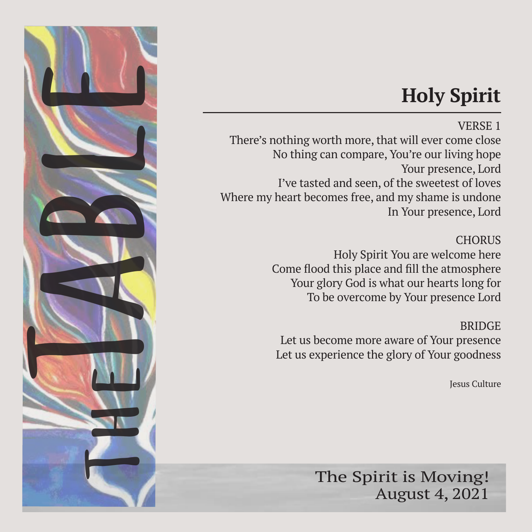## **Holy Spirit**

### VERSE 1

There's nothing worth more, that will ever come close No thing can compare, You're our living hope Your presence, Lord I've tasted and seen, of the sweetest of loves Where my heart becomes free, and my shame is undone In Your presence, Lord

### **CHORUS**

Holy Spirit You are welcome here Come flood this place and fill the atmosphere Your glory God is what our hearts long for To be overcome by Your presence Lord

#### BRIDGE

Let us become more aware of Your presence Let us experience the glory of Your goodness

Jesus Culture

The Spirit is Moving! August 4, 2021

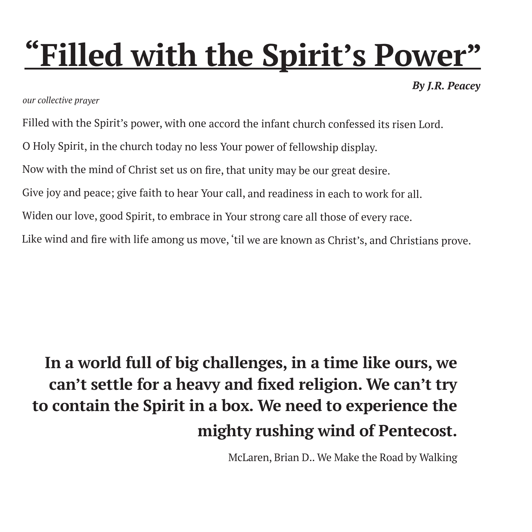# **"Filled with the Spirit's Power"**

*By J.R. Peacey*

#### *our collective prayer*

Filled with the Spirit's power, with one accord the infant church confessed its risen Lord. O Holy Spirit, in the church today no less Your power of fellowship display. Now with the mind of Christ set us on fire, that unity may be our great desire. Give joy and peace; give faith to hear Your call, and readiness in each to work for all. Widen our love, good Spirit, to embrace in Your strong care all those of every race. Like wind and fire with life among us move, 'til we are known as Christ's, and Christians prove.

### **In a world full of big challenges, in a time like ours, we can't settle for a heavy and fixed religion. We can't try to contain the Spirit in a box. We need to experience the mighty rushing wind of Pentecost.**

McLaren, Brian D.. We Make the Road by Walking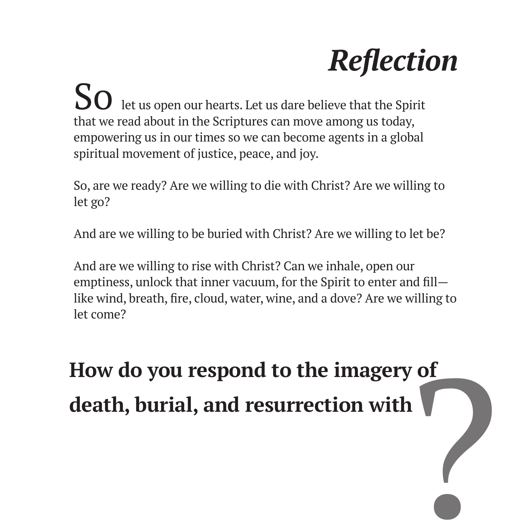## $\blacksquare$  **Reflection**

So let us open our hearts. Let us dare believe that the Spirit that we read about in the Scriptures can move among us today, empowering us in our times so we can become agents in a global spiritual movement of justice, peace, and joy.

So, are we ready? Are we willing to die with Christ? Are we willing to let go?

And are we willing to be buried with Christ? Are we willing to let be?

And are we willing to rise with Christ? Can we inhale, open our emptiness, unlock that inner vacuum, for the Spirit to enter and fill like wind, breath, fire, cloud, water, wine, and a dove? Are we willing to let come?

**How do you respond to the imagery of**  death, burial, and resurrection with